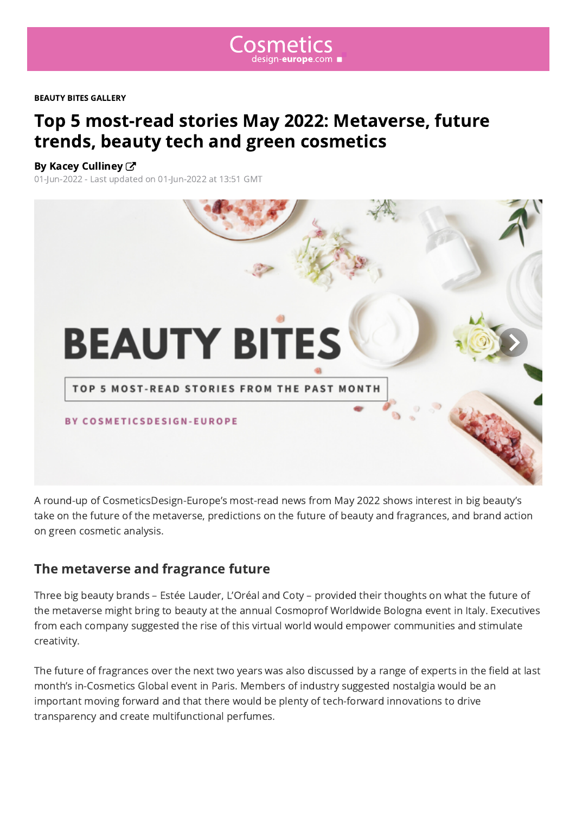

<span id="page-0-0"></span>BEAUTY BITES GALLERY

# Top 5 most-read stories May 2022: Metaverse, future trends, beauty tech and green cosmetics

#### By Kacey Culliney  $\mathbb{Z}$

01-Jun-2022 - Last updated on 01-Jun-2022 at 13:51 GMT

# **BEAUTY BITES**

TOP 5 MOST-READ STORIES FROM THE PAST MONTH

**BY COSMETICSDESIGN-EUROPE** 

A round-up of CosmeticsDesign-Europe's most-read news from May 2022 shows interest in big beauty's take on the future of the metaverse, predictions on the future of beauty and fragrances, and brand action on green cosmetic analysis.

#### The metaverse and fragrance future

Three big beauty brands – Estée Lauder, L'Oréal and Coty – provided their thoughts on what the future of the metaverse might bring to beauty at the annual Cosmoprof Worldwide Bologna event in Italy. Executives from each company suggested the rise of this virtual world would empower communities and stimulate creativity.

The future of fragrances over the next two years was also discussed by a range of experts in the field at last month's in-Cosmetics Global event in Paris. Members of industry suggested nostalgia would be an important moving forward and that there would be plenty of tech-forward innovations to drive transparency and create multifunctional perfumes.